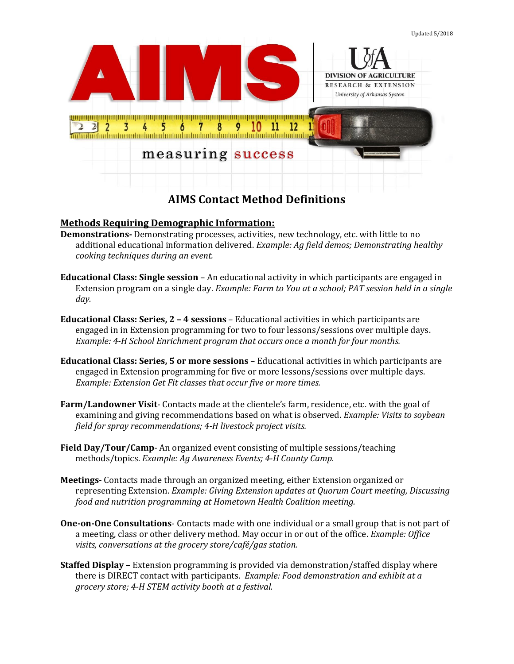

## **Methods Requiring Demographic Information:**

- **Demonstrations-** Demonstrating processes, activities, new technology, etc. with little to no additional educational information delivered. *Example: Ag field demos; Demonstrating healthy cooking techniques during an event.*
- **Educational Class: Single session**  An educational activity in which participants are engaged in Extension program on a single day. *Example: Farm to You at a school; PAT session held in a single day.*
- **Educational Class: Series, 2 – 4 sessions**  Educational activities in which participants are engaged in in Extension programming for two to four lessons/sessions over multiple days. *Example: 4-H School Enrichment program that occurs once a month for four months.*
- **Educational Class: Series, 5 or more sessions**  Educational activities in which participants are engaged in Extension programming for five or more lessons/sessions over multiple days. *Example: Extension Get Fit classes that occur five or more times.*
- **Farm/Landowner Visit** Contacts made at the clientele's farm, residence, etc. with the goal of examining and giving recommendations based on what is observed. *Example: Visits to soybean field for spray recommendations; 4-H livestock project visits.*
- **Field Day/Tour/Camp** An organized event consisting of multiple sessions/teaching methods/topics. *Example: Ag Awareness Events; 4-H County Camp.*
- **Meetings** Contacts made through an organized meeting, either Extension organized or representing Extension. *Example: Giving Extension updates at Quorum Court meeting, Discussing food and nutrition programming at Hometown Health Coalition meeting.*
- **One-on-One Consultations** Contacts made with one individual or a small group that is not part of a meeting, class or other delivery method. May occur in or out of the office. *Example: Office visits, conversations at the grocery store/café/gas station.*
- **Staffed Display**  Extension programming is provided via demonstration/staffed display where there is DIRECT contact with participants. *Example: Food demonstration and exhibit at a grocery store; 4-H STEM activity booth at a festival.*